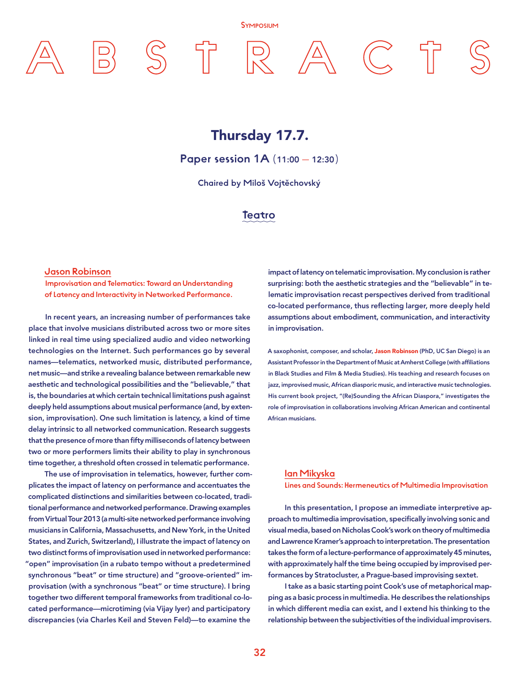#### Symposium

Thursday 17.7.

Paper session 1A (11:00 - 12:30)

Chaired by Miloš Vojtěchovský

Teatro

#### Jason Robinson

Improvisation and Telematics: Toward an Understanding of Latency and Interactivity in Networked Performance.

In recent years, an increasing number of performances take place that involve musicians distributed across two or more sites linked in real time using specialized audio and video networking technologies on the Internet. Such performances go by several names—telematics, networked music, distributed performance, net music—and strike a revealing balance between remarkable new aesthetic and technological possibilities and the "believable," that is, the boundaries at which certain technical limitations push against deeply held assumptions about musical performance (and, by extension, improvisation). One such limitation is latency, a kind of time delay intrinsic to all networked communication. Research suggests that the presence of more than fifty milliseconds of latency between two or more performers limits their ability to play in synchronous time together, a threshold often crossed in telematic performance.

The use of improvisation in telematics, however, further complicates the impact of latency on performance and accentuates the complicated distinctions and similarities between co-located, traditional performance and networked performance. Drawing examples from Virtual Tour 2013 (a multi-site networked performance involving musicians in California, Massachusetts, and New York, in the United States, and Zurich, Switzerland), I illustrate the impact of latency on two distinct forms of improvisation used in networked performance: "open" improvisation (in a rubato tempo without a predetermined synchronous "beat" or time structure) and "groove-oriented" improvisation (with a synchronous "beat" or time structure). I bring together two different temporal frameworks from traditional co-located performance—microtiming (via Vijay Iyer) and participatory discrepancies (via Charles Keil and Steven Feld)—to examine the

impact of latency on telematic improvisation. My conclusion is rather surprising: both the aesthetic strategies and the "believable" in telematic improvisation recast perspectives derived from traditional co-located performance, thus reflecting larger, more deeply held assumptions about embodiment, communication, and interactivity in improvisation.

A saxophonist, composer, and scholar, Jason Robinson (PhD, UC San Diego) is an Assistant Professor in the Department of Music at Amherst College (with affiliations in Black Studies and Film & Media Studies). His teaching and research focuses on jazz, improvised music, African diasporic music, and interactive music technologies. His current book project, "(Re)Sounding the African Diaspora," investigates the role of improvisation in collaborations involving African American and continental African musicians.

#### Ian Mikyska

Lines and Sounds: Hermeneutics of Multimedia Improvisation

In this presentation, I propose an immediate interpretive approach to multimedia improvisation, specifically involving sonic and visual media, based on Nicholas Cook's work on theory of multimedia and Lawrence Kramer's approach to interpretation. The presentation takes the form of a lecture-performance of approximately 45 minutes, with approximately half the time being occupied by improvised performances by Stratocluster, a Prague-based improvising sextet.

I take as a basic starting point Cook's use of metaphorical mapping as a basic process in multimedia. He describes the relationships in which different media can exist, and I extend his thinking to the relationship between the subjectivities of the individual improvisers.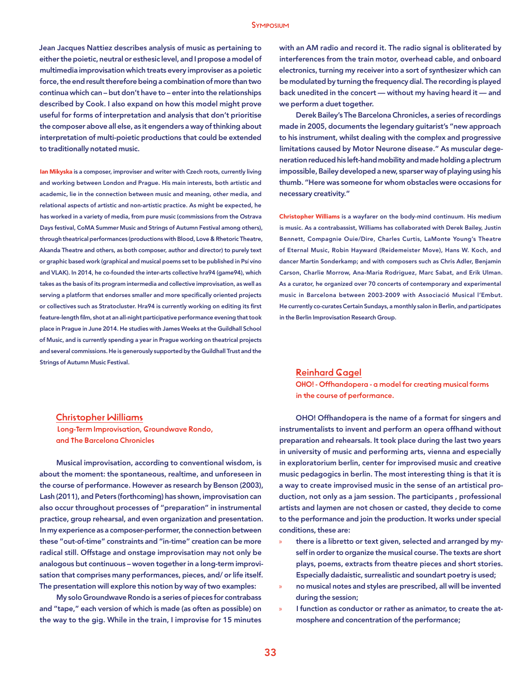#### **SYMPOSIUM**

Jean Jacques Nattiez describes analysis of music as pertaining to either the poietic, neutral or esthesic level, and I propose a model of multimedia improvisation which treats every improviser as a poietic force, the end result therefore being a combination of more than two continua which can – but don't have to – enter into the relationships described by Cook. I also expand on how this model might prove useful for forms of interpretation and analysis that don't prioritise the composer above all else, as it engenders a way of thinking about interpretation of multi-poietic productions that could be extended to traditionally notated music.

Ian Mikyska is a composer, improviser and writer with Czech roots, currently living and working between London and Prague. His main interests, both artistic and academic, lie in the connection between music and meaning, other media, and relational aspects of artistic and non-artistic practice. As might be expected, he has worked in a variety of media, from pure music (commissions from the Ostrava Days festival, CoMA Summer Music and Strings of Autumn Festival among others), through theatrical performances (productions with Blood, Love & Rhetoric Theatre, Akanda Theatre and others, as both composer, author and director) to purely text or graphic based work (graphical and musical poems set to be published in Psí víno and VLAK). In 2014, he co-founded the inter-arts collective hra94 (game94), which takes as the basis of its program intermedia and collective improvisation, as well as serving a platform that endorses smaller and more specifically oriented projects or collectives such as Stratocluster. Hra94 is currently working on editing its first feature-length film, shot at an all-night participative performance evening that took place in Prague in June 2014. He studies with James Weeks at the Guildhall School of Music, and is currently spending a year in Prague working on theatrical projects and several commissions. He is generously supported by the Guildhall Trust and the Strings of Autumn Music Festival.

### with an AM radio and record it. The radio signal is obliterated by interferences from the train motor, overhead cable, and onboard electronics, turning my receiver into a sort of synthesizer which can be modulated by turning the frequency dial. The recording is played back unedited in the concert — without my having heard it — and we perform a duet together.

Derek Bailey's The Barcelona Chronicles, a series of recordings made in 2005, documents the legendary guitarist's "new approach to his instrument, whilst dealing with the complex and progressive limitations caused by Motor Neurone disease." As muscular degeneration reduced his left-hand mobility and made holding a plectrum impossible, Bailey developed a new, sparser way of playing using his thumb. "Here was someone for whom obstacles were occasions for necessary creativity."

Christopher Williams is a wayfarer on the body-mind continuum. His medium is music. As a contrabassist, Williams has collaborated with Derek Bailey, Justin Bennett, Compagnie Ouie/Dire, Charles Curtis, LaMonte Young's Theatre of Eternal Music, Robin Hayward (Reidemeister Move), Hans W. Koch, and dancer Martin Sonderkamp; and with composers such as Chris Adler, Benjamin Carson, Charlie Morrow, Ana-Maria Rodriguez, Marc Sabat, and Erik Ulman. As a curator, he organized over 70 concerts of contemporary and experimental music in Barcelona between 2003-2009 with Associació Musical l'Embut. He currently co-curates Certain Sundays, a monthly salon in Berlin, and participates in the Berlin Improvisation Research Group.

#### Reinhard Gagel

OHO! - Offhandopera - a model for creating musical forms in the course of performance.

#### Christopher Williams

Long-Term Improvisation, Groundwave Rondo, and The Barcelona Chronicles

Musical improvisation, according to conventional wisdom, is about the moment: the spontaneous, realtime, and unforeseen in the course of performance. However as research by Benson (2003), Lash (2011), and Peters (forthcoming) has shown, improvisation can also occur throughout processes of "preparation" in instrumental practice, group rehearsal, and even organization and presentation. In my experience as a composer-performer, the connection between these "out-of-time" constraints and "in-time" creation can be more radical still. Offstage and onstage improvisation may not only be analogous but continuous – woven together in a long-term improvisation that comprises many performances, pieces, and/ or life itself. The presentation will explore this notion by way of two examples:

My solo Groundwave Rondo is a series of pieces for contrabass and "tape," each version of which is made (as often as possible) on the way to the gig. While in the train, I improvise for 15 minutes

OHO! Offhandopera is the name of a format for singers and instrumentalists to invent and perform an opera offhand without preparation and rehearsals. It took place during the last two years in university of music and performing arts, vienna and especially in exploratorium berlin, center for improvised music and creative music pedagogics in berlin. The most interesting thing is that it is a way to create improvised music in the sense of an artistical production, not only as a jam session. The participants , professional artists and laymen are not chosen or casted, they decide to come to the performance and join the production. It works under special conditions, these are:

- there is a libretto or text given, selected and arranged by myself in order to organize the musical course. The texts are short plays, poems, extracts from theatre pieces and short stories. Especially dadaistic, surrealistic and soundart poetry is used;
- » no musical notes and styles are prescribed, all will be invented during the session;
- » I function as conductor or rather as animator, to create the atmosphere and concentration of the performance;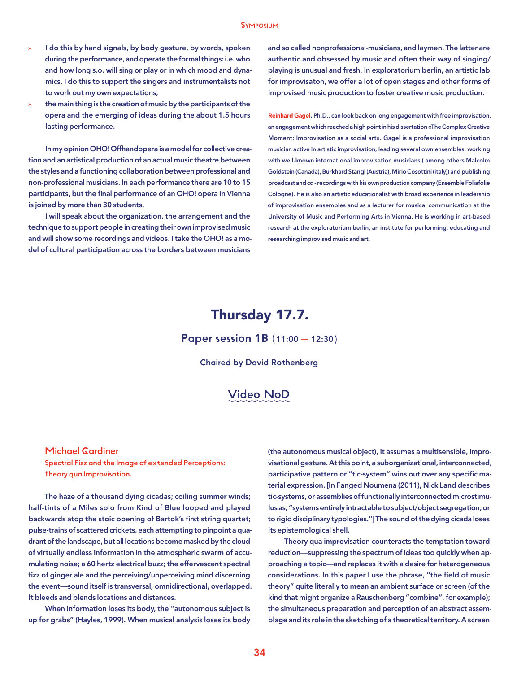- I do this by hand signals, by body gesture, by words, spoken during the performance, and operate the formal things: i.e. who and how long s.o. will sing or play or in which mood and dynamics. I do this to support the singers and instrumentalists not to work out my own expectations;
- the main thing is the creation of music by the participants of the opera and the emerging of ideas during the about 1.5 hours lasting performance.

In my opinion OHO! Offhandopera is a model for collective creation and an artistical production of an actual music theatre between the styles and a functioning collaboration between professional and non-professional musicians. In each performance there are 10 to 15 participants, but the final performance of an OHO! opera in Vienna is joined by more than 30 students.

I will speak about the organization, the arrangement and the technique to support people in creating their own improvised music and will show some recordings and videos. I take the OHO! as a model of cultural participation across the borders between musicians

and so called nonprofessional-musicians, and laymen. The latter are authentic and obsessed by music and often their way of singing/ playing is unusual and fresh. In exploratorium berlin, an artistic lab for improvisaton, we offer a lot of open stages and other forms of improvised music production to foster creative music production.

Reinhard Gagel, Ph.D., can look back on long engagement with free improvisation, an engagement which reached a high point in his dissertation «The Complex Creative Moment: Improvisation as a social art». Gagel is a professional improvisation musician active in artistic improvisation, leading several own ensembles, working with well-known international improvisation musicians ( among others Malcolm Goldstein (Canada), Burkhard Stangl (Austria), Mirio Cosottini (italy)) and publishing broadcast and cd - recordings with his own production company (Ensemble Foliafolie Cologne). He is also an artistic educationalist with broad experience in leadership of improvisation ensembles and as a lecturer for musical communication at the University of Music and Performing Arts in Vienna. He is working in art-based research at the exploratorium berlin, an institute for performing, educating and researching improvised music and art.

# Thursday 17.7.

Paper session 1B (11:00 — 12:30)

Chaired by David Rothenberg

### Video NoD

#### Michael Gardiner

Spectral Fizz and the Image of extended Perceptions: Theory qua Improvisation.

The haze of a thousand dying cicadas; coiling summer winds; half-tints of a Miles solo from Kind of Blue looped and played backwards atop the stoic opening of Bartok's first string quartet; pulse-trains of scattered crickets, each attempting to pinpoint a quadrant of the landscape, but all locations become masked by the cloud of virtually endless information in the atmospheric swarm of accumulating noise; a 60 hertz electrical buzz; the effervescent spectral fizz of ginger ale and the perceiving/unperceiving mind discerning the event—sound itself is transversal, omnidirectional, overlapped. It bleeds and blends locations and distances.

When information loses its body, the "autonomous subject is up for grabs" (Hayles, 1999). When musical analysis loses its body

(the autonomous musical object), it assumes a multisensible, improvisational gesture. At this point, a suborganizational, interconnected, participative pattern or "tic-system" wins out over any specific material expression. [In Fanged Noumena (2011), Nick Land describes tic-systems, or assemblies of functionally interconnected microstimulus as, "systems entirely intractable to subject/object segregation, or to rigid disciplinary typologies."] The sound of the dying cicada loses its epistemological shell.

Theory qua improvisation counteracts the temptation toward reduction—suppressing the spectrum of ideas too quickly when approaching a topic—and replaces it with a desire for heterogeneous considerations. In this paper I use the phrase, "the field of music theory" quite literally to mean an ambient surface or screen (of the kind that might organize a Rauschenberg "combine", for example); the simultaneous preparation and perception of an abstract assemblage and its role in the sketching of a theoretical territory. A screen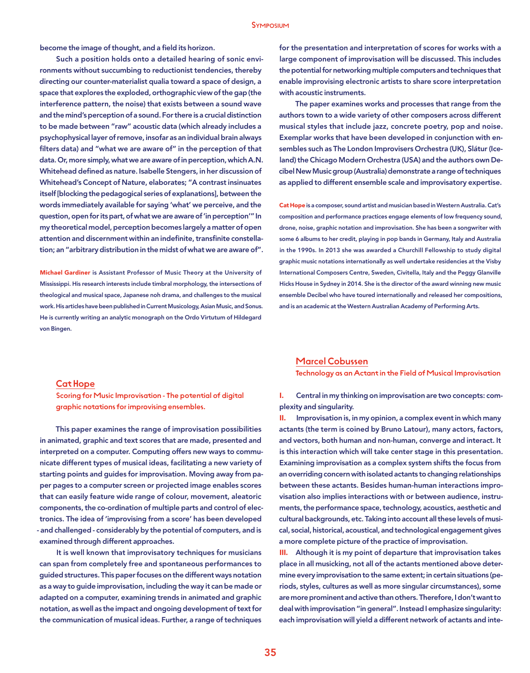become the image of thought, and a field its horizon.

Such a position holds onto a detailed hearing of sonic environments without succumbing to reductionist tendencies, thereby directing our counter-materialist qualia toward a space of design, a space that explores the exploded, orthographic view of the gap (the interference pattern, the noise) that exists between a sound wave and the mind's perception of a sound. For there is a crucial distinction to be made between "raw" acoustic data (which already includes a psychophysical layer of remove, insofar as an individual brain always filters data) and "what we are aware of" in the perception of that data. Or, more simply, what we are aware of in perception, which A.N. Whitehead defined as nature. Isabelle Stengers, in her discussion of Whitehead's Concept of Nature, elaborates; "A contrast insinuates itself [blocking the pedagogical series of explanations], between the words immediately available for saying 'what' we perceive, and the question, open for its part, of what we are aware of 'in perception'" In my theoretical model, perception becomes largely a matter of open attention and discernment within an indefinite, transfinite constellation; an "arbitrary distribution in the midst of what we are aware of".

Michael Gardiner is Assistant Professor of Music Theory at the University of Mississippi. His research interests include timbral morphology, the intersections of theological and musical space, Japanese noh drama, and challenges to the musical work. His articles have been published in Current Musicology, Asian Music, and Sonus. He is currently writing an analytic monograph on the Ordo Virtutum of Hildegard von Bingen.

### for the presentation and interpretation of scores for works with a large component of improvisation will be discussed. This includes the potential for networking multiple computers and techniques that enable improvising electronic artists to share score interpretation with acoustic instruments.

The paper examines works and processes that range from the authors town to a wide variety of other composers across different musical styles that include jazz, concrete poetry, pop and noise. Exemplar works that have been developed in conjunction with ensembles such as The London Improvisers Orchestra (UK), Slátur (Iceland) the Chicago Modern Orchestra (USA) and the authors own Decibel New Music group (Australia) demonstrate a range of techniques as applied to different ensemble scale and improvisatory expertise.

Cat Hope is a composer, sound artist and musician based in Western Australia. Cat's composition and performance practices engage elements of low frequency sound, drone, noise, graphic notation and improvisation. She has been a songwriter with some 6 albums to her credit, playing in pop bands in Germany, Italy and Australia in the 1990s. In 2013 she was awarded a Churchill Fellowship to study digital graphic music notations internationally as well undertake residencies at the Visby International Composers Centre, Sweden, Civitella, Italy and the Peggy Glanville Hicks House in Sydney in 2014. She is the director of the award winning new music ensemble Decibel who have toured internationally and released her compositions, and is an academic at the Western Australian Academy of Performing Arts.

#### Cat Hope

Scoring for Music Improvisation - The potential of digital graphic notations for improvising ensembles.

This paper examines the range of improvisation possibilities in animated, graphic and text scores that are made, presented and interpreted on a computer. Computing offers new ways to communicate different types of musical ideas, facilitating a new variety of starting points and guides for improvisation. Moving away from paper pages to a computer screen or projected image enables scores that can easily feature wide range of colour, movement, aleatoric components, the co-ordination of multiple parts and control of electronics. The idea of 'improvising from a score' has been developed - and challenged - considerably by the potential of computers, and is examined through different approaches.

It is well known that improvisatory techniques for musicians can span from completely free and spontaneous performances to guided structures. This paper focuses on the different ways notation as a way to guide improvisation, including the way it can be made or adapted on a computer, examining trends in animated and graphic notation, as well as the impact and ongoing development of text for the communication of musical ideas. Further, a range of techniques

#### Marcel Cobussen

Technology as an Actant in the Field of Musical Improvisation

I. Central in my thinking on improvisation are two concepts: complexity and singularity.

II. Improvisation is, in my opinion, a complex event in which many actants (the term is coined by Bruno Latour), many actors, factors, and vectors, both human and non-human, converge and interact. It is this interaction which will take center stage in this presentation. Examining improvisation as a complex system shifts the focus from an overriding concern with isolated actants to changing relationships between these actants. Besides human-human interactions improvisation also implies interactions with or between audience, instruments, the performance space, technology, acoustics, aesthetic and cultural backgrounds, etc. Taking into account all these levels of musical, social, historical, acoustical, and technological engagement gives a more complete picture of the practice of improvisation.

III. Although it is my point of departure that improvisation takes place in all musicking, not all of the actants mentioned above determine every improvisation to the same extent; in certain situations (periods, styles, cultures as well as more singular circumstances), some are more prominent and active than others. Therefore, I don't want to deal with improvisation "in general". Instead I emphasize singularity: each improvisation will yield a different network of actants and inte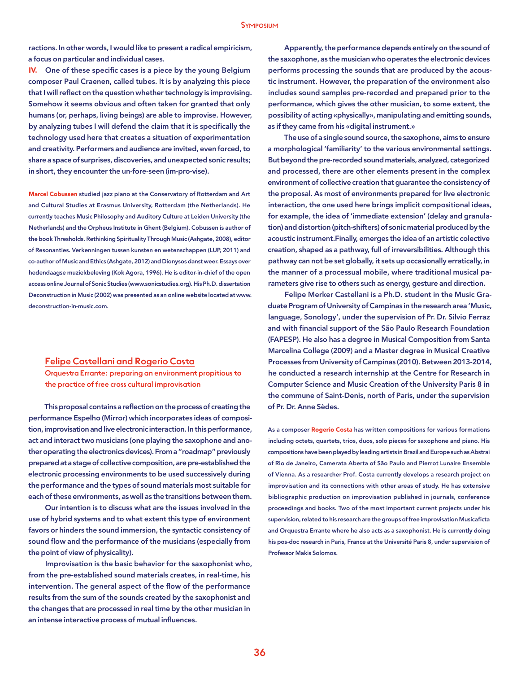ractions. In other words, I would like to present a radical empiricism, a focus on particular and individual cases.

IV. One of these specific cases is a piece by the young Belgium composer Paul Craenen, called tubes. It is by analyzing this piece that I will reflect on the question whether technology is improvising. Somehow it seems obvious and often taken for granted that only humans (or, perhaps, living beings) are able to improvise. However, by analyzing tubes I will defend the claim that it is specifically the technology used here that creates a situation of experimentation and creativity. Performers and audience are invited, even forced, to share a space of surprises, discoveries, and unexpected sonic results; in short, they encounter the un-fore-seen (im-pro-vise).

Marcel Cobussen studied jazz piano at the Conservatory of Rotterdam and Art and Cultural Studies at Erasmus University, Rotterdam (the Netherlands). He currently teaches Music Philosophy and Auditory Culture at Leiden University (the Netherlands) and the Orpheus Institute in Ghent (Belgium). Cobussen is author of the book Thresholds. Rethinking Spirituality Through Music (Ashgate, 2008), editor of Resonanties. Verkenningen tussen kunsten en wetenschappen (LUP, 2011) and co-author of Music and Ethics (Ashgate, 2012) and Dionysos danst weer. Essays over hedendaagse muziekbeleving (Kok Agora, 1996). He is editor-in-chief of the open access online Journal of Sonic Studies (www.sonicstudies.org). His Ph.D. dissertation Deconstruction in Music (2002) was presented as an online website located at www. deconstruction-in-music.com.

#### Felipe Castellani and Rogerio Costa

Orquestra Errante: preparing an environment propitious to the practice of free cross cultural improvisation

This proposal contains a reflection on the process of creating the performance Espelho (Mirror) which incorporates ideas of composition, improvisation and live electronic interaction. In this performance, act and interact two musicians (one playing the saxophone and another operating the electronics devices). From a "roadmap" previously prepared at a stage of collective composition, are pre-established the electronic processing environments to be used successively during the performance and the types of sound materials most suitable for each of these environments, as well as the transitions between them.

Our intention is to discuss what are the issues involved in the use of hybrid systems and to what extent this type of environment favors or hinders the sound immersion, the syntactic consistency of sound flow and the performance of the musicians (especially from the point of view of physicality).

Improvisation is the basic behavior for the saxophonist who, from the pre-established sound materials creates, in real-time, his intervention. The general aspect of the flow of the performance results from the sum of the sounds created by the saxophonist and the changes that are processed in real time by the other musician in an intense interactive process of mutual influences.

Apparently, the performance depends entirely on the sound of the saxophone, as the musician who operates the electronic devices performs processing the sounds that are produced by the acoustic instrument. However, the preparation of the environment also includes sound samples pre-recorded and prepared prior to the performance, which gives the other musician, to some extent, the possibility of acting «physically», manipulating and emitting sounds, as if they came from his «digital instrument.»

The use of a single sound source, the saxophone, aims to ensure a morphological 'familiarity' to the various environmental settings. But beyond the pre-recorded sound materials, analyzed, categorized and processed, there are other elements present in the complex environment of collective creation that guarantee the consistency of the proposal. As most of environments prepared for live electronic interaction, the one used here brings implicit compositional ideas, for example, the idea of 'immediate extension' (delay and granulation) and distortion (pitch-shifters) of sonic material produced by the acoustic instrument.Finally, emerges the idea of an artistic colective creation, shaped as a pathway, full of irreversibilities. Although this pathway can not be set globally, it sets up occasionally erratically, in the manner of a processual mobile, where traditional musical parameters give rise to others such as energy, gesture and direction.

Felipe Merker Castellani is a Ph.D. student in the Music Graduate Program of University of Campinas in the research area 'Music, language, Sonology', under the supervision of Pr. Dr. Silvio Ferraz and with financial support of the São Paulo Research Foundation (FAPESP). He also has a degree in Musical Composition from Santa Marcelina College (2009) and a Master degree in Musical Creative Processes from University of Campinas (2010). Between 2013-2014, he conducted a research internship at the Centre for Research in Computer Science and Music Creation of the University Paris 8 in the commune of Saint-Denis, north of Paris, under the supervision of Pr. Dr. Anne Sèdes.

As a composer Rogerio Costa has written compositions for various formations including octets, quartets, trios, duos, solo pieces for saxophone and piano. His compositions have been played by leading artists in Brazil and Europe such as Abstrai of Rio de Janeiro, Camerata Aberta of São Paulo and Pierrot Lunaire Ensemble of Vienna. As a researcher Prof. Costa currently develops a research project on improvisation and its connections with other areas of study. He has extensive bibliographic production on improvisation published in journals, conference proceedings and books. Two of the most important current projects under his supervision, related to his research are the groups of free improvisation Musicaficta and Orquestra Errante where he also acts as a saxophonist. He is currently doing his pos-doc research in Paris, France at the Université Paris 8, under supervision of Professor Makis Solomos.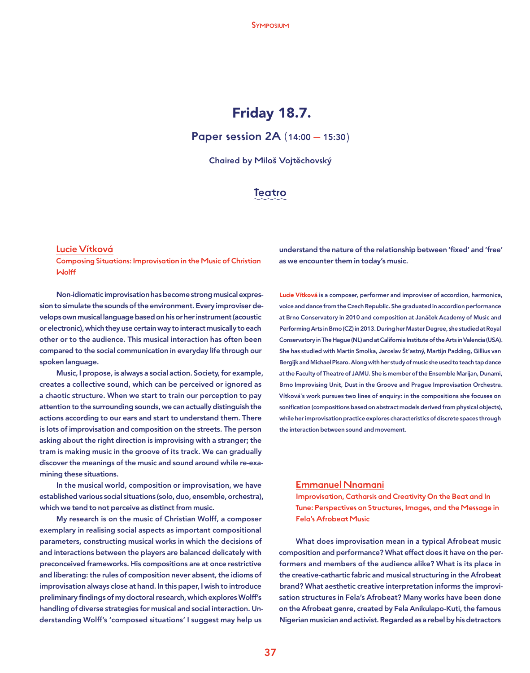# Friday 18.7.

Paper session 2A (14:00 — 15:30)

Chaired by Miloš Vojtěchovský

### Teatro

#### Lucie Vítková

Composing Situations: Improvisation in the Music of Christian Wolff

Non-idiomatic improvisation has become strong musical expression to simulate the sounds of the environment. Every improviser develops own musical language based on his or her instrument (acoustic or electronic), which they use certain way to interact musically to each other or to the audience. This musical interaction has often been compared to the social communication in everyday life through our spoken language.

Music, I propose, is always a social action. Society, for example, creates a collective sound, which can be perceived or ignored as a chaotic structure. When we start to train our perception to pay attention to the surrounding sounds, we can actually distinguish the actions according to our ears and start to understand them. There is lots of improvisation and composition on the streets. The person asking about the right direction is improvising with a stranger; the tram is making music in the groove of its track. We can gradually discover the meanings of the music and sound around while re-examining these situations.

In the musical world, composition or improvisation, we have established various social situations (solo, duo, ensemble, orchestra), which we tend to not perceive as distinct from music.

My research is on the music of Christian Wolff, a composer exemplary in realising social aspects as important compositional parameters, constructing musical works in which the decisions of and interactions between the players are balanced delicately with preconceived frameworks. His compositions are at once restrictive and liberating: the rules of composition never absent, the idioms of improvisation always close at hand. In this paper, I wish to introduce preliminary findings of my doctoral research, which explores Wolff's handling of diverse strategies for musical and social interaction. Understanding Wolff's 'composed situations' I suggest may help us

understand the nature of the relationship between 'fixed' and 'free' as we encounter them in today's music.

Lucie Vítková is a composer, performer and improviser of accordion, harmonica, voice and dance from the Czech Republic. She graduated in accordion performance at Brno Conservatory in 2010 and composition at Janáček Academy of Music and Performing Arts in Brno (CZ) in 2013. During her Master Degree, she studied at Royal Conservatory in The Hague (NL) and at California Institute of the Arts in Valencia (USA). She has studied with Martin Smolka, Jaroslav Št'astný, Martijn Padding, Gillius van Bergijk and Michael Pisaro. Along with her study of music she used to teach tap dance at the Faculty of Theatre of JAMU. She is member of the Ensemble Marijan, Dunami, Brno Improvising Unit, Dust in the Groove and Prague Improvisation Orchestra. Vítková´s work pursues two lines of enquiry: in the compositions she focuses on sonification (compositions based on abstract models derived from physical objects), while her improvisation practice explores characteristics of discrete spaces through the interaction between sound and movement.

#### Emmanuel Nnamani

Improvisation, Catharsis and Creativity On the Beat and In Tune: Perspectives on Structures, Images, and the Message in Fela's Afrobeat Music

What does improvisation mean in a typical Afrobeat music composition and performance? What effect does it have on the performers and members of the audience alike? What is its place in the creative-cathartic fabric and musical structuring in the Afrobeat brand? What aesthetic creative interpretation informs the improvisation structures in Fela's Afrobeat? Many works have been done on the Afrobeat genre, created by Fela Anikulapo-Kuti, the famous Nigerian musician and activist. Regarded as a rebel by his detractors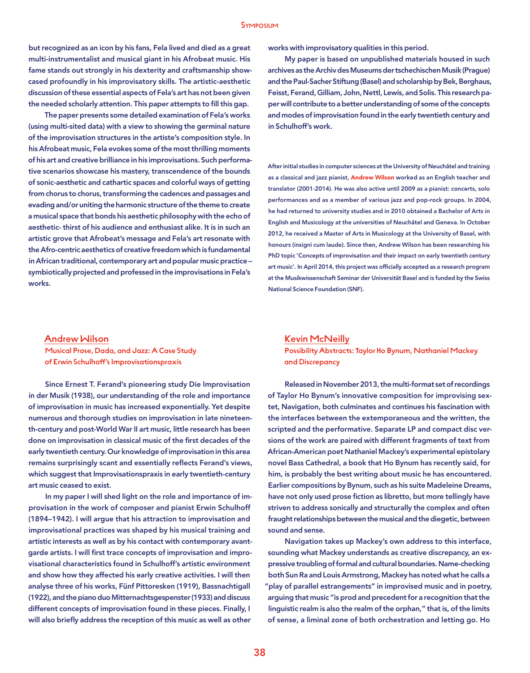but recognized as an icon by his fans, Fela lived and died as a great multi-instrumentalist and musical giant in his Afrobeat music. His fame stands out strongly in his dexterity and craftsmanship showcased profoundly in his improvisatory skills. The artistic-aesthetic discussion of these essential aspects of Fela's art has not been given the needed scholarly attention. This paper attempts to fill this gap.

The paper presents some detailed examination of Fela's works (using multi-sited data) with a view to showing the germinal nature of the improvisation structures in the artiste's composition style. In his Afrobeat music, Fela evokes some of the most thrilling moments of his art and creative brilliance in his improvisations. Such performative scenarios showcase his mastery, transcendence of the bounds of sonic-aesthetic and cathartic spaces and colorful ways of getting from chorus to chorus, transforming the cadences and passages and evading and/or uniting the harmonic structure of the theme to create a musical space that bonds his aesthetic philosophy with the echo of aesthetic- thirst of his audience and enthusiast alike. It is in such an artistic grove that Afrobeat's message and Fela's art resonate with the Afro-centric aesthetics of creative freedom which is fundamental in African traditional, contemporary art and popular music practice – symbiotically projected and professed in the improvisations in Fela's works.

works with improvisatory qualities in this period.

My paper is based on unpublished materials housed in such archives as the Archiv des Museums der tschechischen Musik (Prague) and the Paul-Sacher Stiftung (Basel) and scholarship by Bek, Berghaus, Feisst, Ferand, Gilliam, John, Nettl, Lewis, and Solis. This research paper will contribute to a better understanding of some of the concepts and modes of improvisation found in the early twentieth century and in Schulhoff's work.

After initial studies in computer sciences at the University of Neuchâtel and training as a classical and jazz pianist, Andrew Wilson worked as an English teacher and translator (2001-2014). He was also active until 2009 as a pianist: concerts, solo performances and as a member of various jazz and pop-rock groups. In 2004, he had returned to university studies and in 2010 obtained a Bachelor of Arts in English and Musicology at the universities of Neuchâtel and Geneva. In October 2012, he received a Master of Arts in Musicology at the University of Basel, with honours (insigni cum laude). Since then, Andrew Wilson has been researching his PhD topic 'Concepts of improvisation and their impact on early twentieth century art music'. In April 2014, this project was officially accepted as a research program at the Musikwissenschaft Seminar der Universität Basel and is funded by the Swiss National Science Foundation (SNF).

#### Andrew Wilson

Musical Prose, Dada, and Jazz: A Case Study of Erwin Schulhoff's Improvisationspraxis

Since Ernest T. Ferand's pioneering study Die Improvisation in der Musik (1938), our understanding of the role and importance of improvisation in music has increased exponentially. Yet despite numerous and thorough studies on improvisation in late nineteenth-century and post-World War II art music, little research has been done on improvisation in classical music of the first decades of the early twentieth century. Our knowledge of improvisation in this area remains surprisingly scant and essentially reflects Ferand's views, which suggest that Improvisationspraxis in early twentieth-century art music ceased to exist.

In my paper I will shed light on the role and importance of improvisation in the work of composer and pianist Erwin Schulhoff (1894–1942). I will argue that his attraction to improvisation and improvisational practices was shaped by his musical training and artistic interests as well as by his contact with contemporary avantgarde artists. I will first trace concepts of improvisation and improvisational characteristics found in Schulhoff's artistic environment and show how they affected his early creative activities. I will then analyse three of his works, Fünf Pittoresken (1919), Bassnachtigall (1922), and the piano duo Mitternachtsgespenster (1933) and discuss different concepts of improvisation found in these pieces. Finally, I will also briefly address the reception of this music as well as other

#### Kevin McNeilly

Possibility Abstracts: Taylor Ho Bynum, Nathaniel Mackey and Discrepancy

Released in November 2013, the multi-format set of recordings of Taylor Ho Bynum's innovative composition for improvising sextet, Navigation, both culminates and continues his fascination with the interfaces between the extemporaneous and the written, the scripted and the performative. Separate LP and compact disc versions of the work are paired with different fragments of text from African-American poet Nathaniel Mackey's experimental epistolary novel Bass Cathedral, a book that Ho Bynum has recently said, for him, is probably the best writing about music he has encountered. Earlier compositions by Bynum, such as his suite Madeleine Dreams, have not only used prose fiction as libretto, but more tellingly have striven to address sonically and structurally the complex and often fraught relationships between the musical and the diegetic, between sound and sense.

Navigation takes up Mackey's own address to this interface, sounding what Mackey understands as creative discrepancy, an expressive troubling of formal and cultural boundaries. Name-checking both Sun Ra and Louis Armstrong, Mackey has noted what he calls a "play of parallel estrangements" in improvised music and in poetry, arguing that music "is prod and precedent for a recognition that the linguistic realm is also the realm of the orphan," that is, of the limits of sense, a liminal zone of both orchestration and letting go. Ho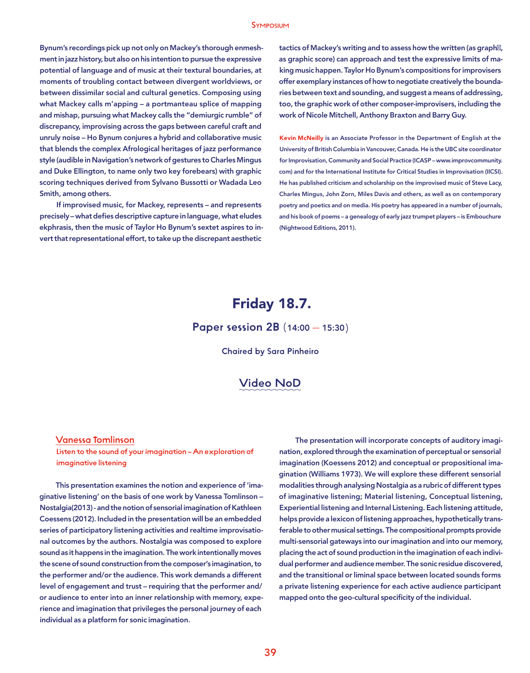Bynum's recordings pick up not only on Mackey's thorough enmeshment in jazz history, but also on his intention to pursue the expressive potential of language and of music at their textural boundaries, at moments of troubling contact between divergent worldviews, or between dissimilar social and cultural genetics. Composing using what Mackey calls m'apping – a portmanteau splice of mapping and mishap, pursuing what Mackey calls the "demiurgic rumble" of discrepancy, improvising across the gaps between careful craft and unruly noise – Ho Bynum conjures a hybrid and collaborative music that blends the complex Afrological heritages of jazz performance style (audible in Navigation's network of gestures to Charles Mingus and Duke Ellington, to name only two key forebears) with graphic scoring techniques derived from Sylvano Bussotti or Wadada Leo Smith, among others.

If improvised music, for Mackey, represents – and represents precisely – what defies descriptive capture in language, what eludes ekphrasis, then the music of Taylor Ho Bynum's sextet aspires to invert that representational effort, to take up the discrepant aesthetic

tactics of Mackey's writing and to assess how the written (as graph, as graphic score) can approach and test the expressive limits of making music happen. Taylor Ho Bynum's compositions for improvisers offer exemplary instances of how to negotiate creatively the boundaries between text and sounding, and suggest a means of addressing, too, the graphic work of other composer-improvisers, including the work of Nicole Mitchell, Anthony Braxton and Barry Guy.

Kevin McNeilly is an Associate Professor in the Department of English at the University of British Columbia in Vancouver, Canada. He is the UBC site coordinator for Improvisation, Community and Social Practice (ICASP – www.improvcommunity. com) and for the International Institute for Critical Studies in Improvisation (IICSI). He has published criticism and scholarship on the improvised music of Steve Lacy, Charles Mingus, John Zorn, Miles Davis and others, as well as on contemporary poetry and poetics and on media. His poetry has appeared in a number of journals, and his book of poems – a genealogy of early jazz trumpet players – is Embouchure (Nightwood Editions, 2011).

# Friday 18.7.

Paper session 2B (14:00 — 15:30)

Chaired by Sara Pinheiro

### Video NoD

#### Vanessa Tomlinson

Listen to the sound of your imagination – An exploration of imaginative listening

This presentation examines the notion and experience of 'imaginative listening' on the basis of one work by Vanessa Tomlinson – Nostalgia(2013) - and the notion of sensorial imagination of Kathleen Coessens (2012). Included in the presentation will be an embedded series of participatory listening activities and realtime improvisational outcomes by the authors. Nostalgia was composed to explore sound as it happens in the imagination. The work intentionally moves the scene of sound construction from the composer's imagination, to the performer and/or the audience. This work demands a different level of engagement and trust – requiring that the performer and/ or audience to enter into an inner relationship with memory, experience and imagination that privileges the personal journey of each individual as a platform for sonic imagination.

The presentation will incorporate concepts of auditory imagination, explored through the examination of perceptual or sensorial imagination (Koessens 2012) and conceptual or propositional imagination (Williams 1973). We will explore these different sensorial modalities through analysing Nostalgia as a rubric of different types of imaginative listening; Material listening, Conceptual listening, Experiential listening and Internal Listening. Each listening attitude, helps provide a lexicon of listening approaches, hypothetically transferable to other musical settings. The compositional prompts provide multi-sensorial gateways into our imagination and into our memory, placing the act of sound production in the imagination of each individual performer and audience member. The sonic residue discovered, and the transitional or liminal space between located sounds forms a private listening experience for each active audience participant mapped onto the geo-cultural specificity of the individual.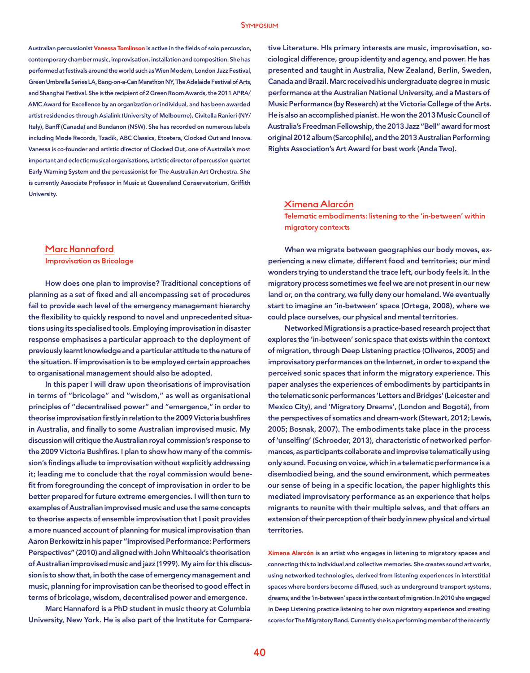Australian percussionist Vanessa Tomlinson is active in the fields of solo percussion, contemporary chamber music, improvisation, installation and composition. She has performed at festivals around the world such as Wien Modern, London Jazz Festival, Green Umbrella Series LA, Bang-on-a-Can Marathon NY, The Adelaide Festival of Arts, and Shanghai Festival. She is the recipient of 2 Green Room Awards, the 2011 APRA/ AMC Award for Excellence by an organization or individual, and has been awarded artist residencies through Asialink (University of Melbourne), Civitella Ranieri (NY/ Italy), Banff (Canada) and Bundanon (NSW). She has recorded on numerous labels including Mode Records, Tzadik, ABC Classics, Etcetera, Clocked Out and Innova. Vanessa is co-founder and artistic director of Clocked Out, one of Australia's most important and eclectic musical organisations, artistic director of percussion quartet Early Warning System and the percussionist for The Australian Art Orchestra. She is currently Associate Professor in Music at Queensland Conservatorium, Griffith University.

tive Literature. HIs primary interests are music, improvisation, sociological difference, group identity and agency, and power. He has presented and taught in Australia, New Zealand, Berlin, Sweden, Canada and Brazil. Marc received his undergraduate degree in music performance at the Australian National University, and a Masters of Music Performance (by Research) at the Victoria College of the Arts. He is also an accomplished pianist. He won the 2013 Music Council of Australia's Freedman Fellowship, the 2013 Jazz "Bell" award for most original 2012 album (Sarcophile), and the 2013 Australian Performing Rights Association's Art Award for best work (Anda Two).

#### Ximena Alarcón

Telematic embodiments: listening to the 'in-between' within migratory contexts

#### Marc Hannaford

Improvisation as Bricolage

How does one plan to improvise? Traditional conceptions of planning as a set of fixed and all encompassing set of procedures fail to provide each level of the emergency management hierarchy the flexibility to quickly respond to novel and unprecedented situations using its specialised tools. Employing improvisation in disaster response emphasises a particular approach to the deployment of previously learnt knowledge and a particular attitude to the nature of the situation. If improvisation is to be employed certain approaches to organisational management should also be adopted.

In this paper I will draw upon theorisations of improvisation in terms of "bricolage" and "wisdom," as well as organisational principles of "decentralised power" and "emergence," in order to theorise improvisation firstly in relation to the 2009 Victoria bushfires in Australia, and finally to some Australian improvised music. My discussion will critique the Australian royal commission's response to the 2009 Victoria Bushfires. I plan to show how many of the commission's findings allude to improvisation without explicitly addressing it; leading me to conclude that the royal commission would benefit from foregrounding the concept of improvisation in order to be better prepared for future extreme emergencies. I will then turn to examples of Australian improvised music and use the same concepts to theorise aspects of ensemble improvisation that I posit provides a more nuanced account of planning for musical improvisation than Aaron Berkowitz in his paper "Improvised Performance: Performers Perspectives" (2010) and aligned with John Whiteoak's theorisation of Australian improvised music and jazz (1999). My aim for this discussion is to show that, in both the case of emergency management and music, planning for improvisation can be theorised to good effect in terms of bricolage, wisdom, decentralised power and emergence.

Marc Hannaford is a PhD student in music theory at Columbia University, New York. He is also part of the Institute for Compara-

When we migrate between geographies our body moves, experiencing a new climate, different food and territories; our mind wonders trying to understand the trace left, our body feels it. In the migratory process sometimes we feel we are not present in our new land or, on the contrary, we fully deny our homeland. We eventually start to imagine an 'in-between' space (Ortega, 2008), where we could place ourselves, our physical and mental territories.

Networked Migrations is a practice-based research project that explores the 'in-between' sonic space that exists within the context of migration, through Deep Listening practice (Oliveros, 2005) and improvisatory performances on the Internet, in order to expand the perceived sonic spaces that inform the migratory experience. This paper analyses the experiences of embodiments by participants in the telematic sonic performances 'Letters and Bridges' (Leicester and Mexico City), and 'Migratory Dreams', (London and Bogotá), from the perspectives of somatics and dream-work (Stewart, 2012; Lewis, 2005; Bosnak, 2007). The embodiments take place in the process of 'unselfing' (Schroeder, 2013), characteristic of networked performances, as participants collaborate and improvise telematically using only sound. Focusing on voice, which in a telematic performance is a disembodied being, and the sound environment, which permeates our sense of being in a specific location, the paper highlights this mediated improvisatory performance as an experience that helps migrants to reunite with their multiple selves, and that offers an extension of their perception of their body in new physical and virtual territories.

Ximena Alarcón is an artist who engages in listening to migratory spaces and connecting this to individual and collective memories. She creates sound art works, using networked technologies, derived from listening experiences in interstitial spaces where borders become diffused, such as underground transport systems, dreams, and the 'in-between' space in the context of migration. In 2010 she engaged in Deep Listening practice listening to her own migratory experience and creating scores for The Migratory Band. Currently she is a performing member of the recently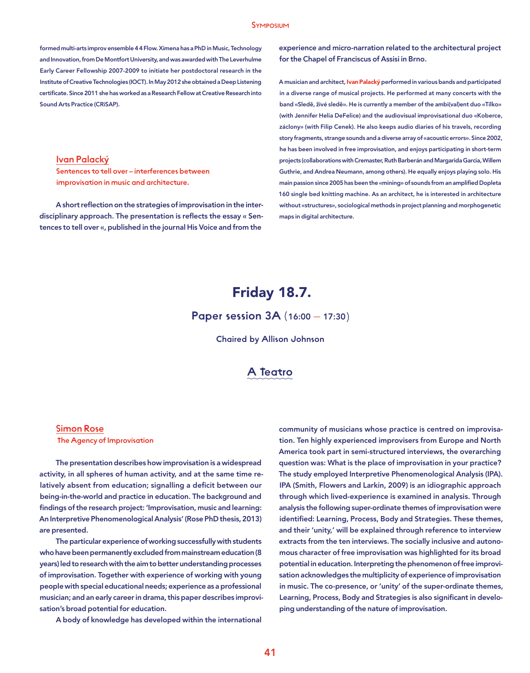#### **SYMPOSIUM**

formed multi-arts improv ensemble 4 4 Flow. Ximena has a PhD in Music, Technology and Innovation, from De Montfort University, and was awarded with The Leverhulme Early Career Fellowship 2007-2009 to initiate her postdoctoral research in the Institute of Creative Technologies (IOCT). In May 2012 she obtained a Deep Listening certificate. Since 2011 she has worked as a Research Fellow at Creative Research into Sound Arts Practice (CRiSAP).

experience and micro-narration related to the architectural project for the Chapel of Franciscus of Assisi in Brno.

A musician and architect, Ivan Palacký performed in various bands and participated in a diverse range of musical projects. He performed at many concerts with the band «Sledě, živé sledě». He is currently a member of the ambi(val)ent duo «Tílko» (with Jennifer Helia DeFelice) and the audiovisual improvisational duo «Koberce, záclony» (with Filip Cenek). He also keeps audio diaries of his travels, recording story fragments, strange sounds and a diverse array of «acoustic errors». Since 2002, he has been involved in free improvisation, and enjoys participating in short-term projects (collaborations with Cremaster, Ruth Barberán and Margarida Garcia, Willem Guthrie, and Andrea Neumann, among others). He equally enjoys playing solo. His main passion since 2005 has been the «mining» of sounds from an amplified Dopleta 160 single bed knitting machine. As an architect, he is interested in architecture without «structures», sociological methods in project planning and morphogenetic maps in digital architecture.

#### Ivan Palacký

Sentences to tell over – interferences between improvisation in music and architecture.

A short reflection on the strategies of improvisation in the interdisciplinary approach. The presentation is reflects the essay « Sentences to tell over «, published in the journal His Voice and from the

# Friday 18.7.

### Paper session 3A (16:00 — 17:30)

Chaired by Allison Johnson

### A Teatro

#### Simon Rose

The Agency of Improvisation

The presentation describes how improvisation is a widespread activity, in all spheres of human activity, and at the same time relatively absent from education; signalling a deficit between our being-in-the-world and practice in education. The background and findings of the research project: 'Improvisation, music and learning: An Interpretive Phenomenological Analysis' (Rose PhD thesis, 2013) are presented.

The particular experience of working successfully with students who have been permanently excluded from mainstream education (8 years) led to research with the aim to better understanding processes of improvisation. Together with experience of working with young people with special educational needs; experience as a professional musician; and an early career in drama, this paper describes improvisation's broad potential for education.

A body of knowledge has developed within the international

community of musicians whose practice is centred on improvisation. Ten highly experienced improvisers from Europe and North America took part in semi-structured interviews, the overarching question was: What is the place of improvisation in your practice? The study employed Interpretive Phenomenological Analysis (IPA). IPA (Smith, Flowers and Larkin, 2009) is an idiographic approach through which lived-experience is examined in analysis. Through analysis the following super-ordinate themes of improvisation were identified: Learning, Process, Body and Strategies. These themes, and their 'unity,' will be explained through reference to interview extracts from the ten interviews. The socially inclusive and autonomous character of free improvisation was highlighted for its broad potential in education. Interpreting the phenomenon of free improvisation acknowledges the multiplicity of experience of improvisation in music. The co-presence, or 'unity' of the super-ordinate themes, Learning, Process, Body and Strategies is also significant in developing understanding of the nature of improvisation.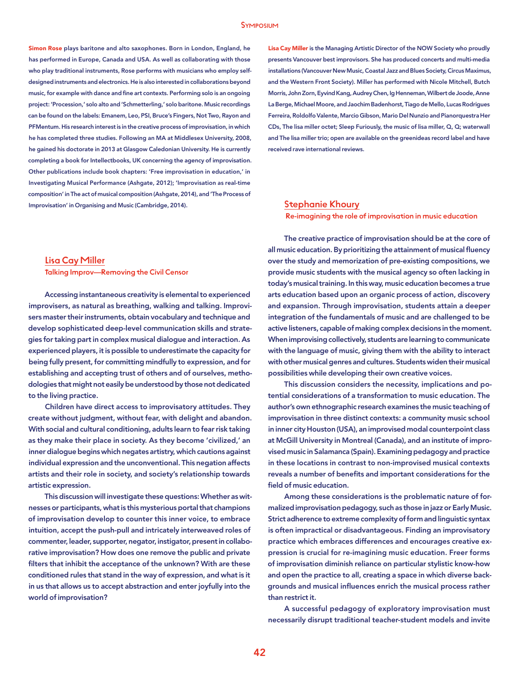Simon Rose plays baritone and alto saxophones. Born in London, England, he has performed in Europe, Canada and USA. As well as collaborating with those who play traditional instruments, Rose performs with musicians who employ selfdesigned instruments and electronics. He is also interested in collaborations beyond music, for example with dance and fine art contexts. Performing solo is an ongoing project: 'Procession,' solo alto and 'Schmetterling,' solo baritone. Music recordings can be found on the labels: Emanem, Leo, PSI, Bruce's Fingers, Not Two, Rayon and PFMentum. His research interest is in the creative process of improvisation, in which he has completed three studies. Following an MA at Middlesex University, 2008, he gained his doctorate in 2013 at Glasgow Caledonian University. He is currently completing a book for Intellectbooks, UK concerning the agency of improvisation. Other publications include book chapters: 'Free improvisation in education,' in Investigating Musical Performance (Ashgate, 2012); 'Improvisation as real-time composition' in The act of musical composition (Ashgate, 2014), and 'The Process of Improvisation' in Organising and Music (Cambridge, 2014).

### Lisa Cay Miller is the Managing Artistic Director of the NOW Society who proudly presents Vancouver best improvisors. She has produced concerts and multi-media installations (Vancouver New Music, Coastal Jazz and Blues Society, Circus Maximus, and the Western Front Society). Miller has performed with Nicole Mitchell, Butch Morris, John Zorn, Eyvind Kang, Audrey Chen, Ig Henneman, Wilbert de Joode, Anne La Berge, Michael Moore, and Jaochim Badenhorst, Tiago de Mello, Lucas Rodrigues Ferreira, Roldolfo Valente, Marcio Gibson, Mario Del Nunzio and Pianorquestra Her CDs, The lisa miller octet; Sleep Furiously, the music of lisa miller, Q, Q; waterwall and The lisa miller trio; open are available on the greenideas record label and have received rave international reviews.

#### Stephanie Khoury

Re-imagining the role of improvisation in music education

#### Lisa Cay Miller Talking Improv—Removing the Civil Censor

Accessing instantaneous creativity is elemental to experienced improvisers, as natural as breathing, walking and talking. Improvisers master their instruments, obtain vocabulary and technique and develop sophisticated deep-level communication skills and strategies for taking part in complex musical dialogue and interaction. As experienced players, it is possible to underestimate the capacity for being fully present, for committing mindfully to expression, and for establishing and accepting trust of others and of ourselves, methodologies that might not easily be understood by those not dedicated to the living practice.

Children have direct access to improvisatory attitudes. They create without judgment, without fear, with delight and abandon. With social and cultural conditioning, adults learn to fear risk taking as they make their place in society. As they become 'civilized,' an inner dialogue begins which negates artistry, which cautions against individual expression and the unconventional. This negation affects artists and their role in society, and society's relationship towards artistic expression.

This discussion will investigate these questions: Whether as witnesses or participants, what is this mysterious portal that champions of improvisation develop to counter this inner voice, to embrace intuition, accept the push-pull and intricately interweaved roles of commenter, leader, supporter, negator, instigator, present in collaborative improvisation? How does one remove the public and private filters that inhibit the acceptance of the unknown? With are these conditioned rules that stand in the way of expression, and what is it in us that allows us to accept abstraction and enter joyfully into the world of improvisation?

The creative practice of improvisation should be at the core of all music education. By prioritizing the attainment of musical fluency over the study and memorization of pre-existing compositions, we provide music students with the musical agency so often lacking in today's musical training. In this way, music education becomes a true arts education based upon an organic process of action, discovery and expansion. Through improvisation, students attain a deeper integration of the fundamentals of music and are challenged to be active listeners, capable of making complex decisions in the moment. When improvising collectively, students are learning to communicate with the language of music, giving them with the ability to interact with other musical genres and cultures. Students widen their musical possibilities while developing their own creative voices.

This discussion considers the necessity, implications and potential considerations of a transformation to music education. The author's own ethnographic research examines the music teaching of improvisation in three distinct contexts: a community music school in inner city Houston (USA), an improvised modal counterpoint class at McGill University in Montreal (Canada), and an institute of improvised music in Salamanca (Spain). Examining pedagogy and practice in these locations in contrast to non-improvised musical contexts reveals a number of benefits and important considerations for the field of music education.

Among these considerations is the problematic nature of formalized improvisation pedagogy, such as those in jazz or Early Music. Strict adherence to extreme complexity of form and linguistic syntax is often impractical or disadvantageous. Finding an improvisatory practice which embraces differences and encourages creative expression is crucial for re-imagining music education. Freer forms of improvisation diminish reliance on particular stylistic know-how and open the practice to all, creating a space in which diverse backgrounds and musical influences enrich the musical process rather than restrict it.

A successful pedagogy of exploratory improvisation must necessarily disrupt traditional teacher-student models and invite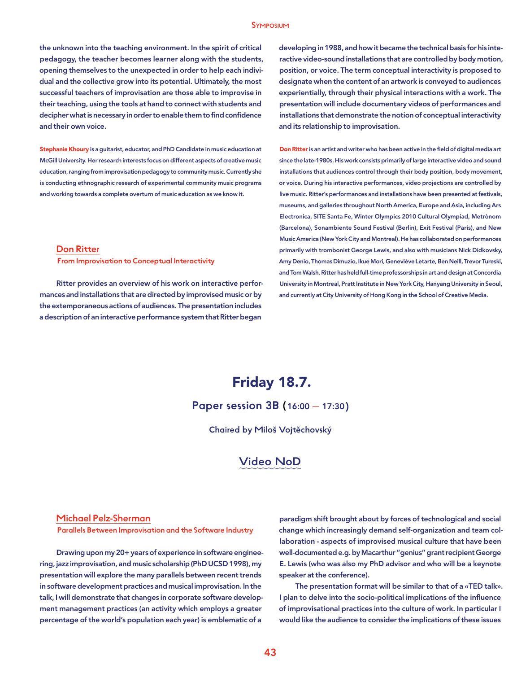the unknown into the teaching environment. In the spirit of critical pedagogy, the teacher becomes learner along with the students, opening themselves to the unexpected in order to help each individual and the collective grow into its potential. Ultimately, the most successful teachers of improvisation are those able to improvise in their teaching, using the tools at hand to connect with students and decipher what is necessary in order to enable them to find confidence and their own voice.

Stephanie Khoury is a guitarist, educator, and PhD Candidate in music education at McGill University. Her research interests focus on different aspects of creative music education, ranging from improvisation pedagogy to community music. Currently she is conducting ethnographic research of experimental community music programs and working towards a complete overturn of music education as we know it.

#### Don Ritter

From Improvisation to Conceptual Interactivity

Ritter provides an overview of his work on interactive performances and installations that are directed by improvised music or by the extemporaneous actions of audiences. The presentation includes a description of an interactive performance system that Ritter began

developing in 1988, and how it became the technical basis for his interactive video-sound installations that are controlled by body motion, position, or voice. The term conceptual interactivity is proposed to designate when the content of an artwork is conveyed to audiences experientially, through their physical interactions with a work. The presentation will include documentary videos of performances and installations that demonstrate the notion of conceptual interactivity and its relationship to improvisation.

Don Ritter is an artist and writer who has been active in the field of digital media art since the late-1980s. His work consists primarily of large interactive video and sound installations that audiences control through their body position, body movement, or voice. During his interactive performances, video projections are controlled by live music. Ritter's performances and installations have been presented at festivals, museums, and galleries throughout North America, Europe and Asia, including Ars Electronica, SITE Santa Fe, Winter Olympics 2010 Cultural Olympiad, Metrònom (Barcelona), Sonambiente Sound Festival (Berlin), Exit Festival (Paris), and New Music America (New York City and Montreal). He has collaborated on performances primarily with trombonist George Lewis, and also with musicians Nick Didkovsky, Amy Denio, Thomas Dimuzio, Ikue Mori, Geneviève Letarte, Ben Neill, Trevor Tureski, and Tom Walsh. Ritter has held full-time professorships in art and design at Concordia University in Montreal, Pratt Institute in New York City, Hanyang University in Seoul, and currently at City University of Hong Kong in the School of Creative Media.

# Friday 18.7.

Paper session 3B (16:00 — 17:30)

Chaired by Miloš Vojtěchovský

### Video NoD

#### Michael Pelz-Sherman

Parallels Between Improvisation and the Software Industry

Drawing upon my 20+ years of experience in software engineering, jazz improvisation, and music scholarship (PhD UCSD 1998), my presentation will explore the many parallels between recent trends in software development practices and musical improvisation. In the talk, I will demonstrate that changes in corporate software development management practices (an activity which employs a greater percentage of the world's population each year) is emblematic of a

paradigm shift brought about by forces of technological and social change which increasingly demand self-organization and team collaboration - aspects of improvised musical culture that have been well-documented e.g. by Macarthur "genius" grant recipient George E. Lewis (who was also my PhD advisor and who will be a keynote speaker at the conference).

The presentation format will be similar to that of a «TED talk». I plan to delve into the socio-political implications of the influence of improvisational practices into the culture of work. In particular I would like the audience to consider the implications of these issues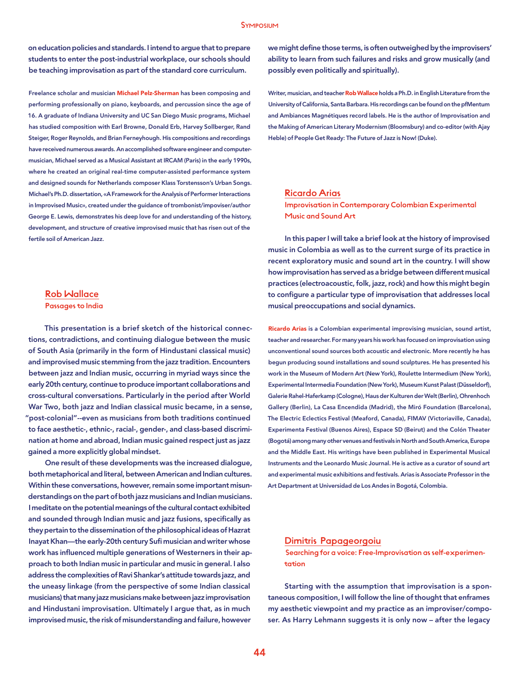on education policies and standards. I intend to argue that to prepare students to enter the post-industrial workplace, our schools should be teaching improvisation as part of the standard core curriculum.

Freelance scholar and musician Michael Pelz-Sherman has been composing and performing professionally on piano, keyboards, and percussion since the age of 16. A graduate of Indiana University and UC San Diego Music programs, Michael has studied composition with Earl Browne, Donald Erb, Harvey Sollberger, Rand Steiger, Roger Reynolds, and Brian Ferneyhough. His compositions and recordings have received numerous awards. An accomplished software engineer and computermusician, Michael served as a Musical Assistant at IRCAM (Paris) in the early 1990s, where he created an original real-time computer-assisted performance system and designed sounds for Netherlands composer Klass Torstensson's Urban Songs. Michael's Ph.D. dissertation, «A Framework for the Analysis of Performer Interactions in Improvised Music», created under the guidance of trombonist/impoviser/author George E. Lewis, demonstrates his deep love for and understanding of the history, development, and structure of creative improvised music that has risen out of the fertile soil of American Jazz.

### Rob Wallace

Passages to India

This presentation is a brief sketch of the historical connections, contradictions, and continuing dialogue between the music of South Asia (primarily in the form of Hindustani classical music) and improvised music stemming from the jazz tradition. Encounters between jazz and Indian music, occurring in myriad ways since the early 20th century, continue to produce important collaborations and cross-cultural conversations. Particularly in the period after World War Two, both jazz and Indian classical music became, in a sense, "post-colonial"--even as musicians from both traditions continued to face aesthetic-, ethnic-, racial-, gender-, and class-based discrimination at home and abroad, Indian music gained respect just as jazz gained a more explicitly global mindset.

One result of these developments was the increased dialogue, both metaphorical and literal, between American and Indian cultures. Within these conversations, however, remain some important misunderstandings on the part of both jazz musicians and Indian musicians. I meditate on the potential meanings of the cultural contact exhibited and sounded through Indian music and jazz fusions, specifically as they pertain to the dissemination of the philosophical ideas of Hazrat Inayat Khan—the early-20th century Sufi musician and writer whose work has influenced multiple generations of Westerners in their approach to both Indian music in particular and music in general. I also address the complexities of Ravi Shankar's attitude towards jazz, and the uneasy linkage (from the perspective of some Indian classical musicians) that many jazz musicians make between jazz improvisation and Hindustani improvisation. Ultimately I argue that, as in much improvised music, the risk of misunderstanding and failure, however

we might define those terms, is often outweighed by the improvisers' ability to learn from such failures and risks and grow musically (and possibly even politically and spiritually).

Writer, musician, and teacher Rob Wallace holds a Ph.D. in English Literature from the University of California, Santa Barbara. His recordings can be found on the pfMentum and Ambiances Magnétiques record labels. He is the author of Improvisation and the Making of American Literary Modernism (Bloomsbury) and co-editor (with Ajay Heble) of People Get Ready: The Future of Jazz is Now! (Duke).

#### Ricardo Arias

Improvisation in Contemporary Colombian Experimental Music and Sound Art

In this paper I will take a brief look at the history of improvised music in Colombia as well as to the current surge of its practice in recent exploratory music and sound art in the country. I will show how improvisation has served as a bridge between different musical practices (electroacoustic, folk, jazz, rock) and how this might begin to configure a particular type of improvisation that addresses local musical preoccupations and social dynamics.

Ricardo Arias is a Colombian experimental improvising musician, sound artist, teacher and researcher. For many years his work has focused on improvisation using unconventional sound sources both acoustic and electronic. More recently he has begun producing sound installations and sound sculptures. He has presented his work in the Museum of Modern Art (New York), Roulette Intermedium (New York), Experimental Intermedia Foundation (New York), Museum Kunst Palast (Düsseldorf), Galerie Rahel-Haferkamp (Cologne), Haus der Kulturen der Welt (Berlin), Ohrenhoch Gallery (Berlin), La Casa Encendida (Madrid), the Miró Foundation (Barcelona), The Electric Eclectics Festival (Meaford, Canada), FIMAV (Victoriaville, Canada), Experimenta Festival (Buenos Aires), Espace SD (Beirut) and the Colón Theater (Bogotá) among many other venues and festivals in North and South America, Europe and the Middle East. His writings have been published in Experimental Musical Instruments and the Leonardo Music Journal. He is active as a curator of sound art and experimental music exhibitions and festivals. Arias is Associate Professor in the Art Department at Universidad de Los Andes in Bogotá, Colombia.

#### Dimitris Papageorgoiu

 Searching for a voice: Free-Improvisation as self-experimentation

Starting with the assumption that improvisation is a spontaneous composition, I will follow the line of thought that enframes my aesthetic viewpoint and my practice as an improviser/composer. As Harry Lehmann suggests it is only now – after the legacy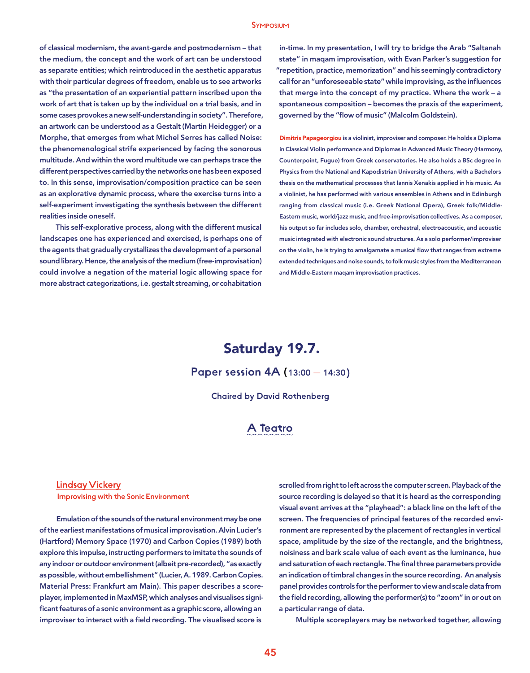of classical modernism, the avant-garde and postmodernism – that the medium, the concept and the work of art can be understood as separate entities; which reintroduced in the aesthetic apparatus with their particular degrees of freedom, enable us to see artworks as "the presentation of an experiential pattern inscribed upon the work of art that is taken up by the individual on a trial basis, and in some cases provokes a new self-understanding in society". Therefore, an artwork can be understood as a Gestalt (Martin Heidegger) or a Morphe, that emerges from what Michel Serres has called Noise: the phenomenological strife experienced by facing the sonorous multitude. And within the word multitude we can perhaps trace the different perspectives carried by the networks one has been exposed to. In this sense, improvisation/composition practice can be seen as an explorative dynamic process, where the exercise turns into a self-experiment investigating the synthesis between the different realities inside oneself.

This self-explorative process, along with the different musical landscapes one has experienced and exercised, is perhaps one of the agents that gradually crystallizes the development of a personal sound library. Hence, the analysis of the medium (free-improvisation) could involve a negation of the material logic allowing space for more abstract categorizations, i.e. gestalt streaming, or cohabitation

in-time. In my presentation, I will try to bridge the Arab "Saltanah state" in maqam improvisation, with Evan Parker's suggestion for "repetition, practice, memorization" and his seemingly contradictory call for an "unforeseeable state" while improvising, as the influences that merge into the concept of my practice. Where the work – a spontaneous composition – becomes the praxis of the experiment, governed by the "flow of music" (Malcolm Goldstein).

Dimitris Papageorgiou is a violinist, improviser and composer. He holds a Diploma in Classical Violin performance and Diplomas in Advanced Music Theory (Harmony, Counterpoint, Fugue) from Greek conservatories. He also holds a BSc degree in Physics from the National and Kapodistrian University of Athens, with a Bachelors thesis on the mathematical processes that Iannis Xenakis applied in his music. As a violinist, he has performed with various ensembles in Athens and in Edinburgh ranging from classical music (i.e. Greek National Opera), Greek folk/Middle-Eastern music, world/jazz music, and free-improvisation collectives. As a composer, his output so far includes solo, chamber, orchestral, electroacoustic, and acoustic music integrated with electronic sound structures. As a solo performer/improviser on the violin, he is trying to amalgamate a musical flow that ranges from extreme extended techniques and noise sounds, to folk music styles from the Mediterranean and Middle-Eastern maqam improvisation practices.

## Saturday 19.7.

### Paper session 4A (13:00 — 14:30)

Chaired by David Rothenberg

### A Teatro

#### Lindsay Vickery

Improvising with the Sonic Environment

Emulation of the sounds of the natural environment may be one of the earliest manifestations of musical improvisation. Alvin Lucier's (Hartford) Memory Space (1970) and Carbon Copies (1989) both explore this impulse, instructing performers to imitate the sounds of any indoor or outdoor environment (albeit pre-recorded), "as exactly as possible, without embellishment" (Lucier, A. 1989. Carbon Copies. Material Press: Frankfurt am Main). This paper describes a scoreplayer, implemented in MaxMSP, which analyses and visualises significant features of a sonic environment as a graphic score, allowing an improviser to interact with a field recording. The visualised score is

scrolled from right to left across the computer screen. Playback of the source recording is delayed so that it is heard as the corresponding visual event arrives at the "playhead": a black line on the left of the screen. The frequencies of principal features of the recorded environment are represented by the placement of rectangles in vertical space, amplitude by the size of the rectangle, and the brightness, noisiness and bark scale value of each event as the luminance, hue and saturation of each rectangle. The final three parameters provide an indication of timbral changes in the source recording. An analysis panel provides controls for the performer to view and scale data from the field recording, allowing the performer(s) to "zoom" in or out on a particular range of data.

Multiple scoreplayers may be networked together, allowing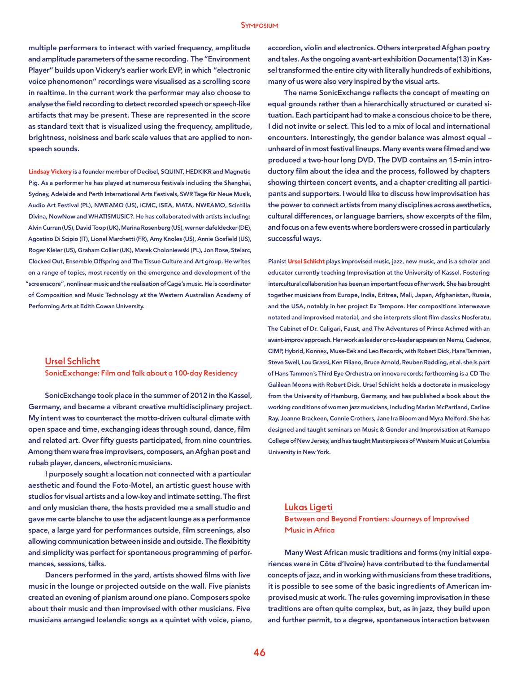#### Symposium

multiple performers to interact with varied frequency, amplitude and amplitude parameters of the same recording. The "Environment Player" builds upon Vickery's earlier work EVP, in which "electronic voice phenomenon" recordings were visualised as a scrolling score in realtime. In the current work the performer may also choose to analyse the field recording to detect recorded speech or speech-like artifacts that may be present. These are represented in the score as standard text that is visualized using the frequency, amplitude, brightness, noisiness and bark scale values that are applied to nonspeech sounds.

Lindsay Vickery is a founder member of Decibel, SQUINT, HEDKIKR and Magnetic Pig. As a performer he has played at numerous festivals including the Shanghai, Sydney, Adelaide and Perth International Arts Festivals, SWR Tage für Neue Musik, Audio Art Festival (PL), NWEAMO (US), ICMC, ISEA, MATA, NWEAMO, Scintilla Divina, NowNow and WHATISMUSIC?. He has collaborated with artists including: Alvin Curran (US), David Toop (UK), Marina Rosenberg (US), werner dafeldecker (DE), Agostino Di Scipio (IT), Lionel Marchetti (FR), Amy Knoles (US), Annie Gosfield (US), Roger Kleier (US), Graham Collier (UK), Marek Choloniewski (PL), Jon Rose, Stelarc, Clocked Out, Ensemble Offspring and The Tissue Culture and Art group. He writes on a range of topics, most recently on the emergence and development of the "screenscore", nonlinear music and the realisation of Cage's music. He is coordinator of Composition and Music Technology at the Western Australian Academy of Performing Arts at Edith Cowan University.

#### Ursel Schlicht

SonicExchange: Film and Talk about a 100-day Residency

SonicExchange took place in the summer of 2012 in the Kassel, Germany, and became a vibrant creative multidisciplinary project. My intent was to counteract the motto-driven cultural climate with open space and time, exchanging ideas through sound, dance, film and related art. Over fifty guests participated, from nine countries. Among them were free improvisers, composers, an Afghan poet and rubab player, dancers, electronic musicians.

I purposely sought a location not connected with a particular aesthetic and found the Foto-Motel, an artistic guest house with studios for visual artists and a low-key and intimate setting. The first and only musician there, the hosts provided me a small studio and gave me carte blanche to use the adjacent lounge as a performance space, a large yard for performances outside, film screenings, also allowing communication between inside and outside. The flexibitity and simplicity was perfect for spontaneous programming of performances, sessions, talks.

Dancers performed in the yard, artists showed films with live music in the lounge or projected outside on the wall. Five pianists created an evening of pianism around one piano. Composers spoke about their music and then improvised with other musicians. Five musicians arranged Icelandic songs as a quintet with voice, piano, accordion, violin and electronics. Others interpreted Afghan poetry and tales. As the ongoing avant-art exhibition Documenta(13) in Kassel transformed the entire city with literally hundreds of exhibitions, many of us were also very inspired by the visual arts.

The name SonicExchange reflects the concept of meeting on equal grounds rather than a hierarchically structured or curated situation. Each participant had to make a conscious choice to be there, I did not invite or select. This led to a mix of local and international encounters. Interestingly, the gender balance was almost equal – unheard of in most festival lineups. Many events were filmed and we produced a two-hour long DVD. The DVD contains an 15-min introductory film about the idea and the process, followed by chapters showing thirteen concert events, and a chapter crediting all participants and supporters. I would like to discuss how improvisation has the power to connect artists from many disciplines across aesthetics, cultural differences, or language barriers, show excerpts of the film, and focus on a few events where borders were crossed in particularly successful ways.

Pianist Ursel Schlicht plays improvised music, jazz, new music, and is a scholar and educator currently teaching Improvisation at the University of Kassel. Fostering intercultural collaboration has been an important focus of her work. She has brought together musicians from Europe, India, Eritrea, Mali, Japan, Afghanistan, Russia, and the USA, notably in her project Ex Tempore. Her compositions interweave notated and improvised material, and she interprets silent film classics Nosferatu, The Cabinet of Dr. Caligari, Faust, and The Adventures of Prince Achmed with an avant-improv approach. Her work as leader or co-leader appears on Nemu, Cadence, CIMP, Hybrid, Konnex, Muse-Eek and Leo Records, with Robert Dick, Hans Tammen, Steve Swell, Lou Grassi, Ken Filiano, Bruce Arnold, Reuben Radding, et al. she is part of Hans Tammen´s Third Eye Orchestra on innova records; forthcoming is a CD The Galilean Moons with Robert Dick. Ursel Schlicht holds a doctorate in musicology from the University of Hamburg, Germany, and has published a book about the working conditions of women jazz musicians, including Marian McPartland, Carline Ray, Joanne Brackeen, Connie Crothers, Jane Ira Bloom and Myra Melford. She has designed and taught seminars on Music & Gender and Improvisation at Ramapo College of New Jersey, and has taught Masterpieces of Western Music at Columbia University in New York.

#### Lukas Ligeti

Between and Beyond Frontiers: Journeys of Improvised Music in Africa

Many West African music traditions and forms (my initial experiences were in Côte d'Ivoire) have contributed to the fundamental concepts of jazz, and in working with musicians from these traditions, it is possible to see some of the basic ingredients of American improvised music at work. The rules governing improvisation in these traditions are often quite complex, but, as in jazz, they build upon and further permit, to a degree, spontaneous interaction between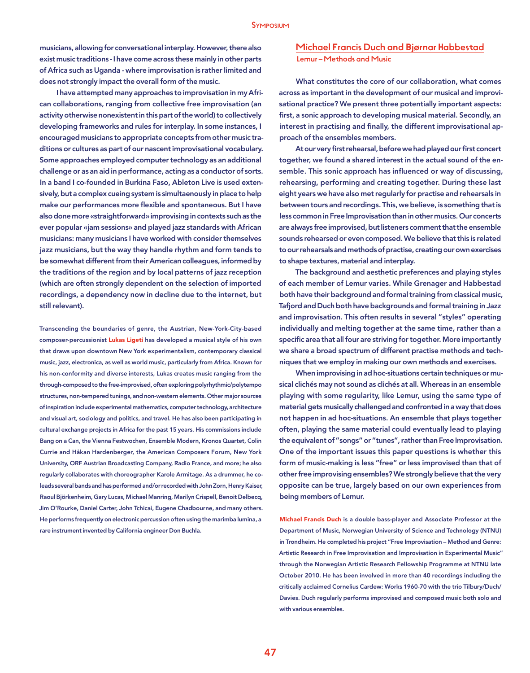musicians, allowing for conversational interplay. However, there also exist music traditions - I have come across these mainly in other parts of Africa such as Uganda - where improvisation is rather limited and does not strongly impact the overall form of the music.

I have attempted many approaches to improvisation in my African collaborations, ranging from collective free improvisation (an activity otherwise nonexistent in this part of the world) to collectively developing frameworks and rules for interplay. In some instances, I encouraged musicians to appropriate concepts from other music traditions or cultures as part of our nascent improvisational vocabulary. Some approaches employed computer technology as an additional challenge or as an aid in performance, acting as a conductor of sorts. In a band I co-founded in Burkina Faso, Ableton Live is used extensively, but a complex cueing system is simultaenously in place to help make our performances more flexible and spontaneous. But I have also done more «straightforward» improvising in contexts such as the ever popular «jam sessions» and played jazz standards with African musicians: many musicians I have worked with consider themselves jazz musicians, but the way they handle rhythm and form tends to be somewhat different from their American colleagues, informed by the traditions of the region and by local patterns of jazz reception (which are often strongly dependent on the selection of imported recordings, a dependency now in decline due to the internet, but still relevant).

Transcending the boundaries of genre, the Austrian, New-York-City-based composer-percussionist Lukas Ligeti has developed a musical style of his own that draws upon downtown New York experimentalism, contemporary classical music, jazz, electronica, as well as world music, particularly from Africa. Known for his non-conformity and diverse interests, Lukas creates music ranging from the through-composed to the free-improvised, often exploring polyrhythmic/polytempo structures, non-tempered tunings, and non-western elements. Other major sources of inspiration include experimental mathematics, computer technology, architecture and visual art, sociology and politics, and travel. He has also been participating in cultural exchange projects in Africa for the past 15 years. His commissions include Bang on a Can, the Vienna Festwochen, Ensemble Modern, Kronos Quartet, Colin Currie and Håkan Hardenberger, the American Composers Forum, New York University, ORF Austrian Broadcasting Company, Radio France, and more; he also regularly collaborates with choreographer Karole Armitage. As a drummer, he coleads several bands and has performed and/or recorded with John Zorn, Henry Kaiser, Raoul Björkenheim, Gary Lucas, Michael Manring, Marilyn Crispell, Benoit Delbecq, Jim O'Rourke, Daniel Carter, John Tchicai, Eugene Chadbourne, and many others. He performs frequently on electronic percussion often using the marimba lumina, a rare instrument invented by California engineer Don Buchla.

#### Michael Francis Duch and Bjørnar Habbestad Lemur – Methods and Music

What constitutes the core of our collaboration, what comes across as important in the development of our musical and improvisational practice? We present three potentially important aspects: first, a sonic approach to developing musical material. Secondly, an interest in practising and finally, the different improvisational approach of the ensembles members.

At our very first rehearsal, before we had played our first concert together, we found a shared interest in the actual sound of the ensemble. This sonic approach has influenced or way of discussing, rehearsing, performing and creating together. During these last eight years we have also met regularly for practise and rehearsals in between tours and recordings. This, we believe, is something that is less common in Free Improvisation than in other musics. Our concerts are always free improvised, but listeners comment that the ensemble sounds rehearsed or even composed. We believe that this is related to our rehearsals and methods of practise, creating our own exercises to shape textures, material and interplay.

The background and aesthetic preferences and playing styles of each member of Lemur varies. While Grenager and Habbestad both have their background and formal training from classical music, Tafjord and Duch both have backgrounds and formal training in Jazz and improvisation. This often results in several "styles" operating individually and melting together at the same time, rather than a specific area that all four are striving for together. More importantly we share a broad spectrum of different practise methods and techniques that we employ in making our own methods and exercises.

When improvising in ad hoc-situations certain techniques or musical clichés may not sound as clichés at all. Whereas in an ensemble playing with some regularity, like Lemur, using the same type of material gets musically challenged and confronted in a way that does not happen in ad hoc-situations. An ensemble that plays together often, playing the same material could eventually lead to playing the equivalent of "songs" or "tunes", rather than Free Improvisation. One of the important issues this paper questions is whether this form of music-making is less "free" or less improvised than that of other free improvising ensembles? We strongly believe that the very opposite can be true, largely based on our own experiences from being members of Lemur.

Michael Francis Duch is a double bass-player and Associate Professor at the Department of Music, Norwegian University of Science and Technology (NTNU) in Trondheim. He completed his project "Free Improvisation – Method and Genre: Artistic Research in Free Improvisation and Improvisation in Experimental Music" through the Norwegian Artistic Research Fellowship Programme at NTNU late October 2010. He has been involved in more than 40 recordings including the critically acclaimed Cornelius Cardew: Works 1960-70 with the trio Tilbury/Duch/ Davies. Duch regularly performs improvised and composed music both solo and with various ensembles.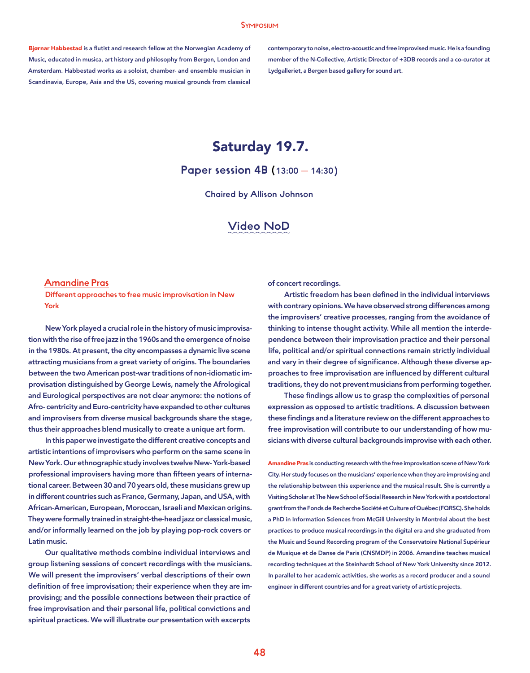#### Symposium

Bjørnar Habbestad is a flutist and research fellow at the Norwegian Academy of Music, educated in musica, art history and philosophy from Bergen, London and Amsterdam. Habbestad works as a soloist, chamber- and ensemble musician in Scandinavia, Europe, Asia and the US, covering musical grounds from classical contemporary to noise, electro-acoustic and free improvised music. He is a founding member of the N-Collective, Artistic Director of +3DB records and a co-curator at Lydgalleriet, a Bergen based gallery for sound art.

# Saturday 19.7.

Paper session 4B (13:00 — 14:30)

Chaired by Allison Johnson

### Video NoD

#### Amandine Pras

Different approaches to free music improvisation in New York

New York played a crucial role in the history of music improvisation with the rise of free jazz in the 1960s and the emergence of noise in the 1980s. At present, the city encompasses a dynamic live scene attracting musicians from a great variety of origins. The boundaries between the two American post-war traditions of non-idiomatic improvisation distinguished by George Lewis, namely the Afrological and Eurological perspectives are not clear anymore: the notions of Afro- centricity and Euro-centricity have expanded to other cultures and improvisers from diverse musical backgrounds share the stage, thus their approaches blend musically to create a unique art form.

In this paper we investigate the different creative concepts and artistic intentions of improvisers who perform on the same scene in New York. Our ethnographic study involves twelve New- York-based professional improvisers having more than fifteen years of international career. Between 30 and 70 years old, these musicians grew up in different countries such as France, Germany, Japan, and USA, with African-American, European, Moroccan, Israeli and Mexican origins. They were formally trained in straight-the-head jazz or classical music, and/or informally learned on the job by playing pop-rock covers or Latin music.

Our qualitative methods combine individual interviews and group listening sessions of concert recordings with the musicians. We will present the improvisers' verbal descriptions of their own definition of free improvisation; their experience when they are improvising; and the possible connections between their practice of free improvisation and their personal life, political convictions and spiritual practices. We will illustrate our presentation with excerpts

of concert recordings.

Artistic freedom has been defined in the individual interviews with contrary opinions. We have observed strong differences among the improvisers' creative processes, ranging from the avoidance of thinking to intense thought activity. While all mention the interdependence between their improvisation practice and their personal life, political and/or spiritual connections remain strictly individual and vary in their degree of significance. Although these diverse approaches to free improvisation are influenced by different cultural traditions, they do not prevent musicians from performing together.

These findings allow us to grasp the complexities of personal expression as opposed to artistic traditions. A discussion between these findings and a literature review on the different approaches to free improvisation will contribute to our understanding of how musicians with diverse cultural backgrounds improvise with each other.

Amandine Pras is conducting research with the free improvisation scene of New York City. Her study focuses on the musicians' experience when they are improvising and the relationship between this experience and the musical result. She is currently a Visiting Scholar at The New School of Social Research in New York with a postdoctoral grant from the Fonds de Recherche Société et Culture of Québec (FQRSC). She holds a PhD in Information Sciences from McGill University in Montréal about the best practices to produce musical recordings in the digital era and she graduated from the Music and Sound Recording program of the Conservatoire National Supérieur de Musique et de Danse de Paris (CNSMDP) in 2006. Amandine teaches musical recording techniques at the Steinhardt School of New York University since 2012. In parallel to her academic activities, she works as a record producer and a sound engineer in different countries and for a great variety of artistic projects.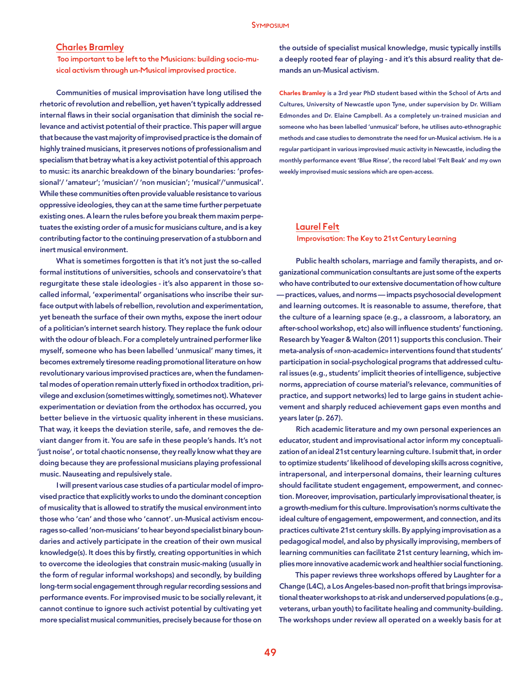#### Charles Bramley

 Too important to be left to the Musicians: building socio-musical activism through un-Musical improvised practice.

Communities of musical improvisation have long utilised the rhetoric of revolution and rebellion, yet haven't typically addressed internal flaws in their social organisation that diminish the social relevance and activist potential of their practice. This paper will argue that because the vast majority of improvised practice is the domain of highly trained musicians, it preserves notions of professionalism and specialism that betray what is a key activist potential of this approach to music: its anarchic breakdown of the binary boundaries: 'professional'/ 'amateur'; 'musician'/ 'non musician'; 'musical'/'unmusical'. While these communities often provide valuable resistance to various oppressive ideologies, they can at the same time further perpetuate existing ones. A learn the rules before you break them maxim perpetuates the existing order of a music for musicians culture, and is a key contributing factor to the continuing preservation of a stubborn and inert musical environment.

What is sometimes forgotten is that it's not just the so-called formal institutions of universities, schools and conservatoire's that regurgitate these stale ideologies - it's also apparent in those socalled informal, 'experimental' organisations who inscribe their surface output with labels of rebellion, revolution and experimentation, yet beneath the surface of their own myths, expose the inert odour of a politician's internet search history. They replace the funk odour with the odour of bleach. For a completely untrained performer like myself, someone who has been labelled 'unmusical' many times, it becomes extremely tiresome reading promotional literature on how revolutionary various improvised practices are, when the fundamental modes of operation remain utterly fixed in orthodox tradition, privilege and exclusion (sometimes wittingly, sometimes not). Whatever experimentation or deviation from the orthodox has occurred, you better believe in the virtuosic quality inherent in these musicians. That way, it keeps the deviation sterile, safe, and removes the deviant danger from it. You are safe in these people's hands. It's not 'just noise', or total chaotic nonsense, they really know what they are doing because they are professional musicians playing professional music. Nauseating and repulsively stale.

I will present various case studies of a particular model of improvised practice that explicitly works to undo the dominant conception of musicality that is allowed to stratify the musical environment into those who 'can' and those who 'cannot'. un-Musical activism encourages so-called 'non-musicians' to hear beyond specialist binary boundaries and actively participate in the creation of their own musical knowledge(s). It does this by firstly, creating opportunities in which to overcome the ideologies that constrain music-making (usually in the form of regular informal workshops) and secondly, by building long-term social engagement through regular recording sessions and performance events. For improvised music to be socially relevant, it cannot continue to ignore such activist potential by cultivating yet more specialist musical communities, precisely because for those on

the outside of specialist musical knowledge, music typically instills a deeply rooted fear of playing - and it's this absurd reality that demands an un-Musical activism.

Charles Bramley is a 3rd year PhD student based within the School of Arts and Cultures, University of Newcastle upon Tyne, under supervision by Dr. William Edmondes and Dr. Elaine Campbell. As a completely un-trained musician and someone who has been labelled 'unmusical' before, he utilises auto-ethnographic methods and case studies to demonstrate the need for un-Musical activism. He is a regular participant in various improvised music activity in Newcastle, including the monthly performance event 'Blue Rinse', the record label 'Felt Beak' and my own weekly improvised music sessions which are open-access.

#### Laurel Felt

#### Improvisation: The Key to 21st Century Learning

Public health scholars, marriage and family therapists, and organizational communication consultants are just some of the experts who have contributed to our extensive documentation of how culture — practices, values, and norms — impacts psychosocial development and learning outcomes. It is reasonable to assume, therefore, that the culture of a learning space (e.g., a classroom, a laboratory, an after-school workshop, etc) also will influence students' functioning. Research by Yeager & Walton (2011) supports this conclusion. Their meta-analysis of «non-academic» interventions found that students' participation in social-psychological programs that addressed cultural issues (e.g., students' implicit theories of intelligence, subjective norms, appreciation of course material's relevance, communities of practice, and support networks) led to large gains in student achievement and sharply reduced achievement gaps even months and years later (p. 267).

Rich academic literature and my own personal experiences an educator, student and improvisational actor inform my conceptualization of an ideal 21st century learning culture. I submit that, in order to optimize students' likelihood of developing skills across cognitive, intrapersonal, and interpersonal domains, their learning cultures should facilitate student engagement, empowerment, and connection. Moreover, improvisation, particularly improvisational theater, is a growth-medium for this culture. Improvisation's norms cultivate the ideal culture of engagement, empowerment, and connection, and its practices cultivate 21st century skills. By applying improvisation as a pedagogical model, and also by physically improvising, members of learning communities can facilitate 21st century learning, which implies more innovative academic work and healthier social functioning.

This paper reviews three workshops offered by Laughter for a Change (L4C), a Los Angeles-based non-profit that brings improvisational theater workshops to at-risk and underserved populations (e.g., veterans, urban youth) to facilitate healing and community-building. The workshops under review all operated on a weekly basis for at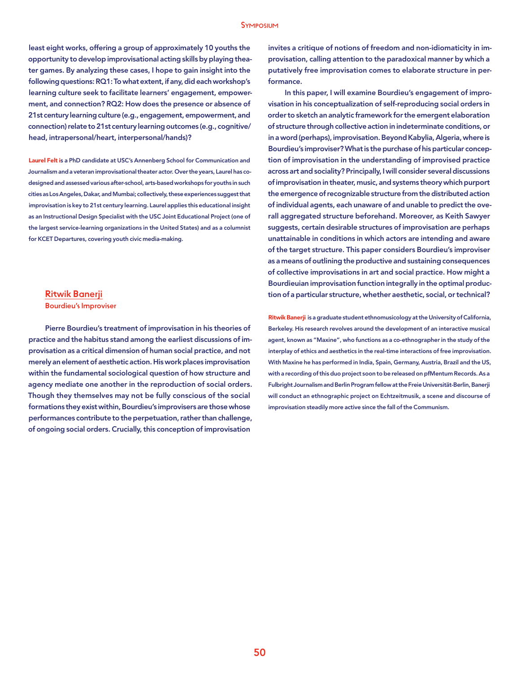#### Symposium

least eight works, offering a group of approximately 10 youths the opportunity to develop improvisational acting skills by playing theater games. By analyzing these cases, I hope to gain insight into the following questions: RQ1: To what extent, if any, did each workshop's learning culture seek to facilitate learners' engagement, empowerment, and connection? RQ2: How does the presence or absence of 21st century learning culture (e.g., engagement, empowerment, and connection) relate to 21st century learning outcomes (e.g., cognitive/ head, intrapersonal/heart, interpersonal/hands)?

Laurel Felt is a PhD candidate at USC's Annenberg School for Communication and Journalism and a veteran improvisational theater actor. Over the years, Laurel has codesigned and assessed various after-school, arts-based workshops for youths in such cities as Los Angeles, Dakar, and Mumbai; collectively, these experiences suggest that improvisation is key to 21st century learning. Laurel applies this educational insight as an Instructional Design Specialist with the USC Joint Educational Project (one of the largest service-learning organizations in the United States) and as a columnist for KCET Departures, covering youth civic media-making.

#### Ritwik Banerji

Bourdieu's Improviser

Pierre Bourdieu's treatment of improvisation in his theories of practice and the habitus stand among the earliest discussions of improvisation as a critical dimension of human social practice, and not merely an element of aesthetic action. His work places improvisation within the fundamental sociological question of how structure and agency mediate one another in the reproduction of social orders. Though they themselves may not be fully conscious of the social formations they exist within, Bourdieu's improvisers are those whose performances contribute to the perpetuation, rather than challenge, of ongoing social orders. Crucially, this conception of improvisation

invites a critique of notions of freedom and non-idiomaticity in improvisation, calling attention to the paradoxical manner by which a putatively free improvisation comes to elaborate structure in performance.

In this paper, I will examine Bourdieu's engagement of improvisation in his conceptualization of self-reproducing social orders in order to sketch an analytic framework for the emergent elaboration of structure through collective action in indeterminate conditions, or in a word (perhaps), improvisation. Beyond Kabylia, Algeria, where is Bourdieu's improviser? What is the purchase of his particular conception of improvisation in the understanding of improvised practice across art and sociality? Principally, I will consider several discussions of improvisation in theater, music, and systems theory which purport the emergence of recognizable structure from the distributed action of individual agents, each unaware of and unable to predict the overall aggregated structure beforehand. Moreover, as Keith Sawyer suggests, certain desirable structures of improvisation are perhaps unattainable in conditions in which actors are intending and aware of the target structure. This paper considers Bourdieu's improviser as a means of outlining the productive and sustaining consequences of collective improvisations in art and social practice. How might a Bourdieuian improvisation function integrally in the optimal production of a particular structure, whether aesthetic, social, or technical?

Ritwik Banerji is a graduate student ethnomusicology at the University of California, Berkeley. His research revolves around the development of an interactive musical agent, known as "Maxine", who functions as a co-ethnographer in the study of the interplay of ethics and aesthetics in the real-time interactions of free improvisation. With Maxine he has performed in India, Spain, Germany, Austria, Brazil and the US, with a recording of this duo project soon to be released on pfMentum Records. As a Fulbright Journalism and Berlin Program fellow at the Freie Universität-Berlin, Banerji will conduct an ethnographic project on Echtzeitmusik, a scene and discourse of improvisation steadily more active since the fall of the Communism.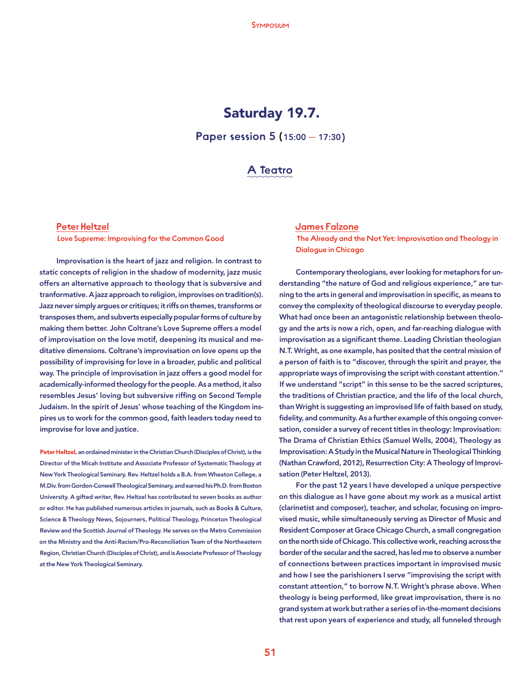# Saturday 19.7.

Paper session 5 (15:00 — 17:30)

### A Teatro

#### Peter Heltzel

Love Supreme: Improvising for the Common Good

Improvisation is the heart of jazz and religion. In contrast to static concepts of religion in the shadow of modernity, jazz music offers an alternative approach to theology that is subversive and tranformative. A jazz approach to religion, improvises on tradition(s). Jazz never simply argues or critiques; it riffs on themes, transforms or transposes them, and subverts especially popular forms of culture by making them better. John Coltrane's Love Supreme offers a model of improvisation on the love motif, deepening its musical and meditative dimensions. Coltrane's improvisation on love opens up the possibility of improvising for love in a broader, public and political way. The principle of improvisation in jazz offers a good model for academically-informed theology for the people. As a method, it also resembles Jesus' loving but subversive riffing on Second Temple Judaism. In the spirit of Jesus' whose teaching of the Kingdom inspires us to work for the common good, faith leaders today need to improvise for love and justice.

Peter Heltzel, an ordained minister in the Christian Church (Disciples of Christ), is the Director of the Micah Institute and Associate Professor of Systematic Theology at New York Theological Seminary. Rev. Heltzel holds a B.A. from Wheaton College, a M.Div. from Gordon-Conwell Theological Seminary, and earned his Ph.D. from Boston University. A gifted writer, Rev. Heltzel has contributed to seven books as author or editor. He has published numerous articles in journals, such as Books & Culture, Science & Theology News, Sojourners, Political Theology, Princeton Theological Review and the Scottish Journal of Theology. He serves on the Metro Commission on the Ministry and the Anti-Racism/Pro-Reconciliation Team of the Northeastern Region, Christian Church (Disciples of Christ), and is Associate Professor of Theology at the New York Theological Seminary.

#### James Falzone

 The Already and the Not Yet: Improvisation and Theology in Dialogue in Chicago

Contemporary theologians, ever looking for metaphors for understanding "the nature of God and religious experience," are turning to the arts in general and improvisation in specific, as means to convey the complexity of theological discourse to everyday people. What had once been an antagonistic relationship between theology and the arts is now a rich, open, and far-reaching dialogue with improvisation as a significant theme. Leading Christian theologian N.T. Wright, as one example, has posited that the central mission of a person of faith is to "discover, through the spirit and prayer, the appropriate ways of improvising the script with constant attention." If we understand "script" in this sense to be the sacred scriptures, the traditions of Christian practice, and the life of the local church, than Wright is suggesting an improvised life of faith based on study, fidelity, and community. As a further example of this ongoing conversation, consider a survey of recent titles in theology: Improvisation: The Drama of Christian Ethics (Samuel Wells, 2004), Theology as Improvisation: A Study in the Musical Nature in Theological Thinking (Nathan Crawford, 2012), Resurrection City: A Theology of Improvisation (Peter Heltzel, 2013).

For the past 12 years I have developed a unique perspective on this dialogue as I have gone about my work as a musical artist (clarinetist and composer), teacher, and scholar, focusing on improvised music, while simultaneously serving as Director of Music and Resident Composer at Grace Chicago Church, a small congregation on the north side of Chicago. This collective work, reaching across the border of the secular and the sacred, has led me to observe a number of connections between practices important in improvised music and how I see the parishioners I serve "improvising the script with constant attention," to borrow N.T. Wright's phrase above. When theology is being performed, like great improvisation, there is no grand system at work but rather a series of in-the-moment decisions that rest upon years of experience and study, all funneled through